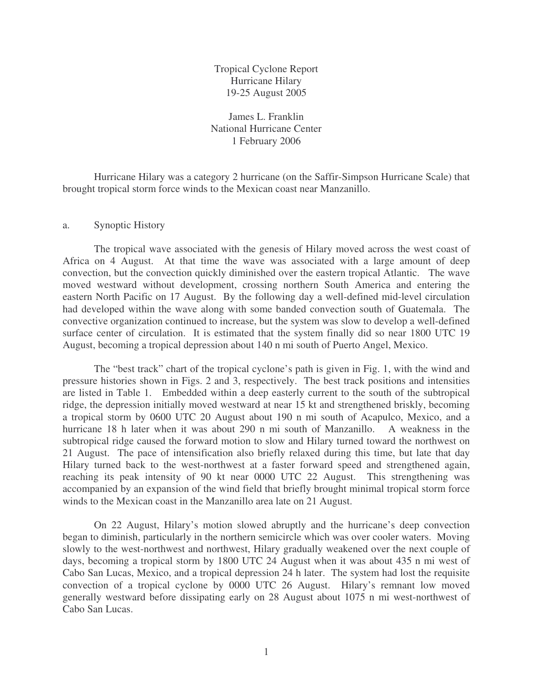Tropical Cyclone Report Hurricane Hilary 19-25 August 2005

James L. Franklin National Hurricane Center 1 February 2006

Hurricane Hilary was a category 2 hurricane (on the Saffir-Simpson Hurricane Scale) that brought tropical storm force winds to the Mexican coast near Manzanillo.

## a. Synoptic History

The tropical wave associated with the genesis of Hilary moved across the west coast of Africa on 4 August. At that time the wave was associated with a large amount of deep convection, but the convection quickly diminished over the eastern tropical Atlantic. The wave moved westward without development, crossing northern South America and entering the eastern North Pacific on 17 August. By the following day a well-defined mid-level circulation had developed within the wave along with some banded convection south of Guatemala. The convective organization continued to increase, but the system was slow to develop a well-defined surface center of circulation. It is estimated that the system finally did so near 1800 UTC 19 August, becoming a tropical depression about 140 n mi south of Puerto Angel, Mexico.

The "best track" chart of the tropical cyclone's path is given in Fig. 1, with the wind and pressure histories shown in Figs. 2 and 3, respectively. The best track positions and intensities are listed in Table 1. Embedded within a deep easterly current to the south of the subtropical ridge, the depression initially moved westward at near 15 kt and strengthened briskly, becoming a tropical storm by 0600 UTC 20 August about 190 n mi south of Acapulco, Mexico, and a hurricane 18 h later when it was about 290 n mi south of Manzanillo. A weakness in the subtropical ridge caused the forward motion to slow and Hilary turned toward the northwest on 21 August. The pace of intensification also briefly relaxed during this time, but late that day Hilary turned back to the west-northwest at a faster forward speed and strengthened again, reaching its peak intensity of 90 kt near 0000 UTC 22 August. This strengthening was accompanied by an expansion of the wind field that briefly brought minimal tropical storm force winds to the Mexican coast in the Manzanillo area late on 21 August.

On 22 August, Hilary's motion slowed abruptly and the hurricane's deep convection began to diminish, particularly in the northern semicircle which was over cooler waters. Moving slowly to the west-northwest and northwest, Hilary gradually weakened over the next couple of days, becoming a tropical storm by 1800 UTC 24 August when it was about 435 n mi west of Cabo San Lucas, Mexico, and a tropical depression 24 h later. The system had lost the requisite convection of a tropical cyclone by 0000 UTC 26 August. Hilary's remnant low moved generally westward before dissipating early on 28 August about 1075 n mi west-northwest of Cabo San Lucas.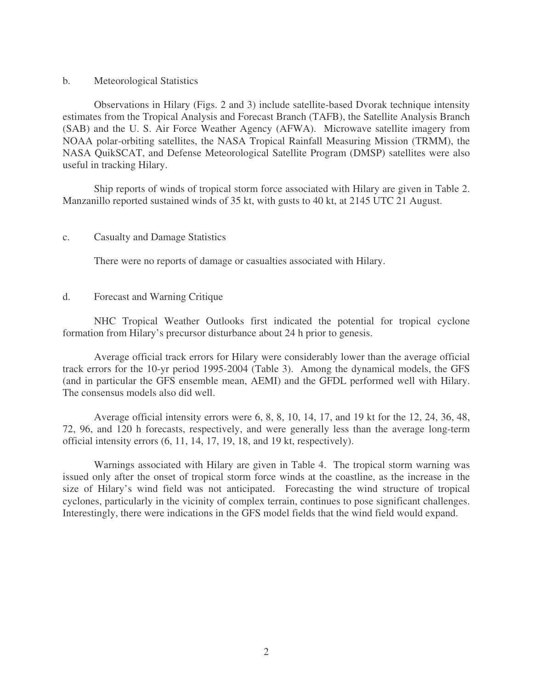## b. Meteorological Statistics

Observations in Hilary (Figs. 2 and 3) include satellite-based Dvorak technique intensity estimates from the Tropical Analysis and Forecast Branch (TAFB), the Satellite Analysis Branch (SAB) and the U. S. Air Force Weather Agency (AFWA). Microwave satellite imagery from NOAA polar-orbiting satellites, the NASA Tropical Rainfall Measuring Mission (TRMM), the NASA QuikSCAT, and Defense Meteorological Satellite Program (DMSP) satellites were also useful in tracking Hilary.

Ship reports of winds of tropical storm force associated with Hilary are given in Table 2. Manzanillo reported sustained winds of 35 kt, with gusts to 40 kt, at 2145 UTC 21 August.

## c. Casualty and Damage Statistics

There were no reports of damage or casualties associated with Hilary.

## d. Forecast and Warning Critique

NHC Tropical Weather Outlooks first indicated the potential for tropical cyclone formation from Hilary's precursor disturbance about 24 h prior to genesis.

Average official track errors for Hilary were considerably lower than the average official track errors for the 10-yr period 1995-2004 (Table 3). Among the dynamical models, the GFS (and in particular the GFS ensemble mean, AEMI) and the GFDL performed well with Hilary. The consensus models also did well.

Average official intensity errors were 6, 8, 8, 10, 14, 17, and 19 kt for the 12, 24, 36, 48, 72, 96, and 120 h forecasts, respectively, and were generally less than the average long-term official intensity errors (6, 11, 14, 17, 19, 18, and 19 kt, respectively).

Warnings associated with Hilary are given in Table 4. The tropical storm warning was issued only after the onset of tropical storm force winds at the coastline, as the increase in the size of Hilary's wind field was not anticipated. Forecasting the wind structure of tropical cyclones, particularly in the vicinity of complex terrain, continues to pose significant challenges. Interestingly, there were indications in the GFS model fields that the wind field would expand.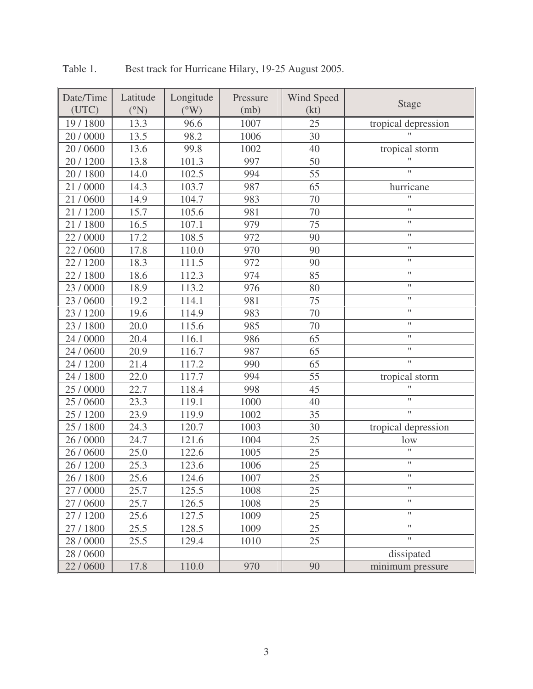| Date/Time<br>(UTC) | Latitude<br>(°N) | Longitude<br>$(^{\circ}W)$ | Pressure<br>(mb) | Wind Speed<br>(kt) | <b>Stage</b>           |
|--------------------|------------------|----------------------------|------------------|--------------------|------------------------|
| 19 / 1800          | 13.3             | 96.6                       | 1007             | 25                 | tropical depression    |
| 20 / 0000          | 13.5             | 98.2                       | 1006             | 30                 |                        |
| 20 / 0600          | 13.6             | 99.8                       | 1002             | 40                 | tropical storm         |
| 20 / 1200          | 13.8             | 101.3                      | 997              | 50                 | $\mathbf{H}$           |
| 20 / 1800          | 14.0             | 102.5                      | 994              | 55                 | Ħ                      |
| 21/0000            | 14.3             | 103.7                      | 987              | 65                 | hurricane              |
| 21/0600            | 14.9             | 104.7                      | 983              | 70                 | $\mathbf{H}$           |
| 21/1200            | 15.7             | 105.6                      | 981              | 70                 | $\pmb{\mathsf{H}}$     |
| 21/1800            | 16.5             | 107.1                      | 979              | 75                 | $\pmb{\mathsf{H}}$     |
| 22/0000            | 17.2             | 108.5                      | 972              | 90                 | $\mathbf{H}$           |
| 22/0600            | 17.8             | 110.0                      | 970              | 90                 | $\pmb{\mathsf{H}}$     |
| 22/1200            | 18.3             | 111.5                      | 972              | 90                 | $\pmb{\mathsf{H}}$     |
| 22/1800            | 18.6             | 112.3                      | 974              | 85                 | $\pmb{\mathsf{H}}$     |
| 23 / 0000          | 18.9             | 113.2                      | 976              | 80                 | $\pmb{\mathsf{H}}$     |
| 23/0600            | 19.2             | 114.1                      | 981              | 75                 | $\pmb{\mathsf{H}}$     |
| 23 / 1200          | 19.6             | 114.9                      | 983              | 70                 | 11                     |
| 23 / 1800          | 20.0             | 115.6                      | 985              | 70                 | $\pmb{\mathsf{H}}$     |
| 24 / 0000          | 20.4             | 116.1                      | 986              | 65                 | $\mathbf{H}$           |
| 24 / 0600          | 20.9             | 116.7                      | 987              | 65                 | $\pmb{\shortparallel}$ |
| 24 / 1200          | 21.4             | 117.2                      | 990              | 65                 | Ħ                      |
| 24 / 1800          | 22.0             | 117.7                      | 994              | 55                 | tropical storm         |
| 25 / 0000          | 22.7             | 118.4                      | 998              | 45                 | Ħ                      |
| 25 / 0600          | 23.3             | 119.1                      | 1000             | 40                 | $\pmb{\mathsf{H}}$     |
| 25 / 1200          | 23.9             | 119.9                      | 1002             | 35                 | Ħ                      |
| 25 / 1800          | 24.3             | 120.7                      | 1003             | 30                 | tropical depression    |
| 26 / 0000          | 24.7             | 121.6                      | 1004             | 25                 | low                    |
| 26 / 0600          | 25.0             | 122.6                      | 1005             | 25                 | $\mathbf{H}$           |
| 26 / 1200          | 25.3             | 123.6                      | 1006             | 25                 | $\pmb{\mathsf{H}}$     |
| 26 / 1800          | 25.6             | 124.6                      | 1007             | 25                 | 11                     |
| 27 / 0000          | 25.7             | 125.5                      | 1008             | 25                 | 11                     |
| 27 / 0600          | 25.7             | 126.5                      | 1008             | 25                 | $\pmb{\mathsf{H}}$     |
| 27/1200            | 25.6             | 127.5                      | 1009             | 25                 | Ħ                      |
| 27 / 1800          | 25.5             | 128.5                      | 1009             | 25                 | $\pmb{\mathsf{H}}$     |
| 28 / 0000          | 25.5             | 129.4                      | 1010             | 25                 | Ħ                      |
| 28 / 0600          |                  |                            |                  |                    | dissipated             |
| 22/0600            | 17.8             | 110.0                      | 970              | 90                 | minimum pressure       |

Table 1. Best track for Hurricane Hilary, 19-25 August 2005.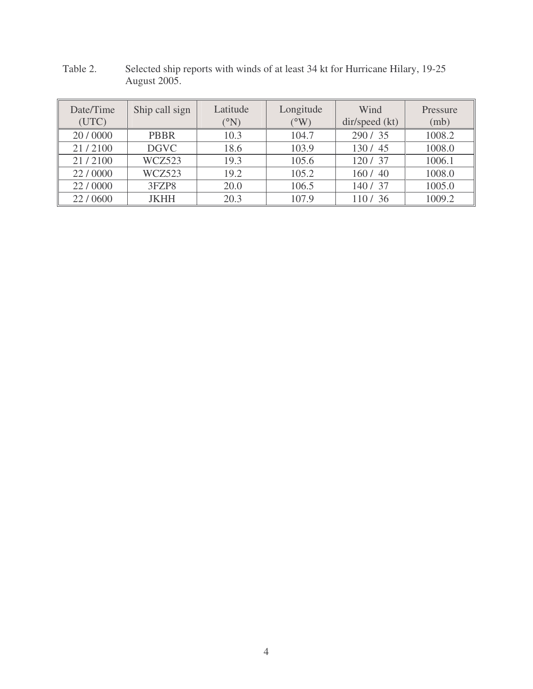| Date/Time<br>(UTC) | Ship call sign | Latitude<br>$^{\circ}$ N) | Longitude<br>$(W^{\circ})$ | Wind<br>dir/speed (kt) | Pressure<br>(mb) |
|--------------------|----------------|---------------------------|----------------------------|------------------------|------------------|
| 20/0000            | <b>PBBR</b>    | 10.3                      | 104.7                      | 290 / 35               | 1008.2           |
| 21/2100            | <b>DGVC</b>    | 18.6                      | 103.9                      | 130/45                 | 1008.0           |
| 21/2100            | WCZ523         | 19.3                      | 105.6                      | 120/37                 | 1006.1           |
| 22/0000            | WCZ523         | 19.2                      | 105.2                      | 160/40                 | 1008.0           |
| 22/0000            | 3FZP8          | 20.0                      | 106.5                      | 140 / 37               | 1005.0           |
| 22/0600            | <b>JKHH</b>    | 20.3                      | 107.9                      | 110/36                 | 1009.2           |

Table 2. Selected ship reports with winds of at least 34 kt for Hurricane Hilary, 19-25 August 2005.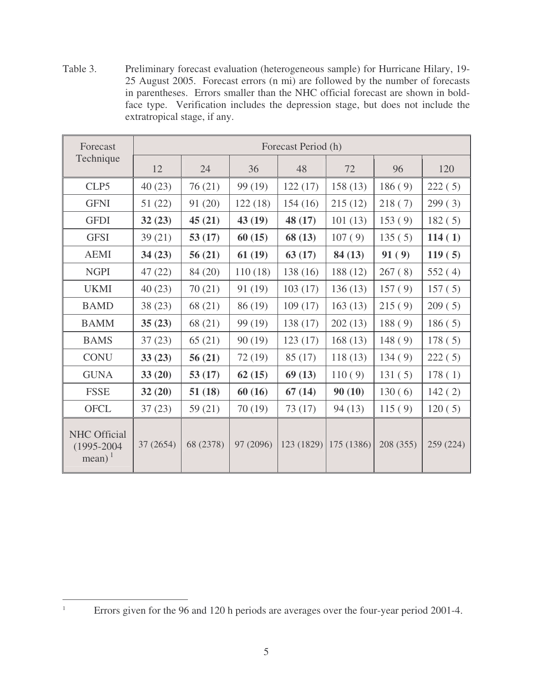Table 3. Preliminary forecast evaluation (heterogeneous sample) for Hurricane Hilary, 19- 25 August 2005. Forecast errors (n mi) are followed by the number of forecasts in parentheses. Errors smaller than the NHC official forecast are shown in boldface type. Verification includes the depression stage, but does not include the extratropical stage, if any.

| Forecast                                                       | Forecast Period (h) |           |           |          |                        |           |           |
|----------------------------------------------------------------|---------------------|-----------|-----------|----------|------------------------|-----------|-----------|
| Technique                                                      | 12                  | 24        | 36        | 48       | 72                     | 96        | 120       |
| CLP5                                                           | 40(23)              | 76(21)    | 99 (19)   | 122(17)  | 158(13)                | 186(9)    | 222(5)    |
| <b>GFNI</b>                                                    | 51(22)              | 91(20)    | 122(18)   | 154(16)  | 215(12)                | 218(7)    | 299(3)    |
| <b>GFDI</b>                                                    | 32(23)              | 45(21)    | 43(19)    | 48(17)   | 101(13)                | 153(9)    | 182(5)    |
| <b>GFSI</b>                                                    | 39(21)              | 53(17)    | 60(15)    | 68(13)   | 107(9)                 | 135(5)    | 114(1)    |
| <b>AEMI</b>                                                    | 34(23)              | 56(21)    | 61(19)    | 63(17)   | 84(13)                 | 91(9)     | 119(5)    |
| <b>NGPI</b>                                                    | 47(22)              | 84 (20)   | 110(18)   | 138 (16) | 188 (12)               | 267(8)    | 552(4)    |
| <b>UKMI</b>                                                    | 40(23)              | 70(21)    | 91 (19)   | 103(17)  | 136(13)                | 157(9)    | 157(5)    |
| <b>BAMD</b>                                                    | 38(23)              | 68 (21)   | 86 (19)   | 109(17)  | 163(13)                | 215(9)    | 209(5)    |
| <b>BAMM</b>                                                    | 35(23)              | 68 (21)   | 99 (19)   | 138(17)  | 202(13)                | 188(9)    | 186(5)    |
| <b>BAMS</b>                                                    | 37(23)              | 65(21)    | 90(19)    | 123(17)  | 168(13)                | 148(9)    | 178(5)    |
| <b>CONU</b>                                                    | 33(23)              | 56(21)    | 72(19)    | 85(17)   | 118(13)                | 134(9)    | 222(5)    |
| <b>GUNA</b>                                                    | 33(20)              | 53(17)    | 62(15)    | 69(13)   | 110(9)                 | 131(5)    | 178(1)    |
| <b>FSSE</b>                                                    | 32(20)              | 51(18)    | 60(16)    | 67(14)   | 90(10)                 | 130(6)    | 142(2)    |
| <b>OFCL</b>                                                    | 37(23)              | 59(21)    | 70(19)    | 73(17)   | 94(13)                 | 115(9)    | 120(5)    |
| <b>NHC</b> Official<br>$(1995 - 2004)$<br>$mean)$ <sup>1</sup> | 37 (2654)           | 68 (2378) | 97 (2096) |          | $123(1829)$ 175 (1386) | 208 (355) | 259 (224) |

<sup>&</sup>lt;sup>1</sup> Errors given for the 96 and 120 h periods are averages over the four-year period 2001-4.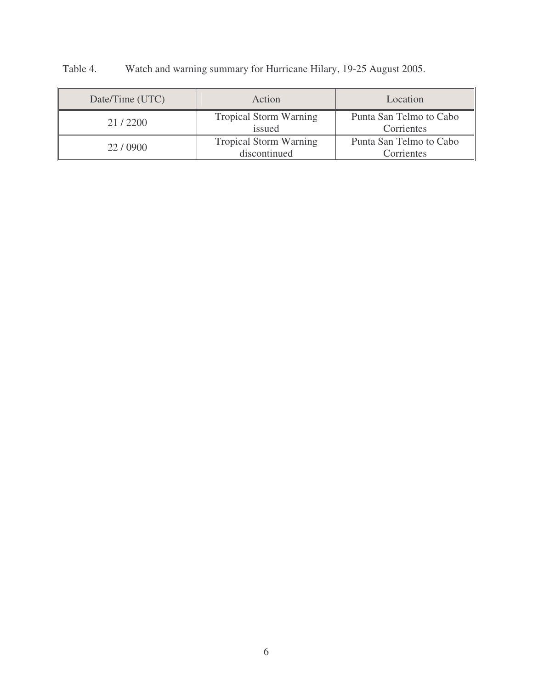| Date/Time (UTC) | Action                                        | Location                              |  |  |
|-----------------|-----------------------------------------------|---------------------------------------|--|--|
| 21/2200         | <b>Tropical Storm Warning</b><br>issued       | Punta San Telmo to Cabo<br>Corrientes |  |  |
| 22/0900         | <b>Tropical Storm Warning</b><br>discontinued | Punta San Telmo to Cabo<br>Corrientes |  |  |

Table 4. Watch and warning summary for Hurricane Hilary, 19-25 August 2005.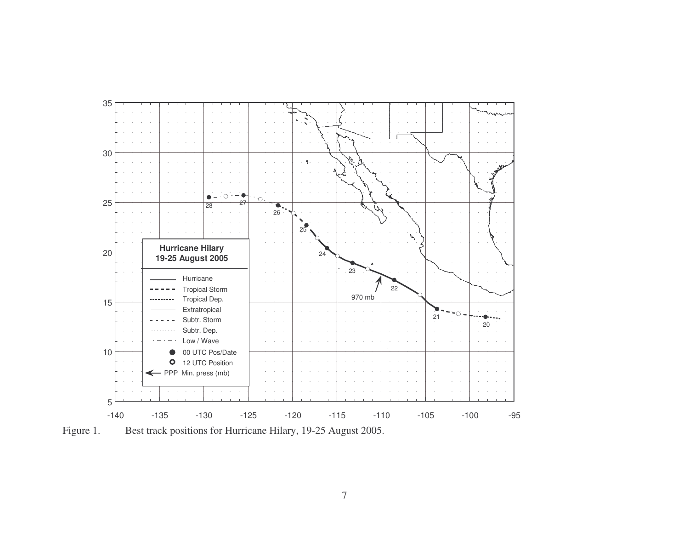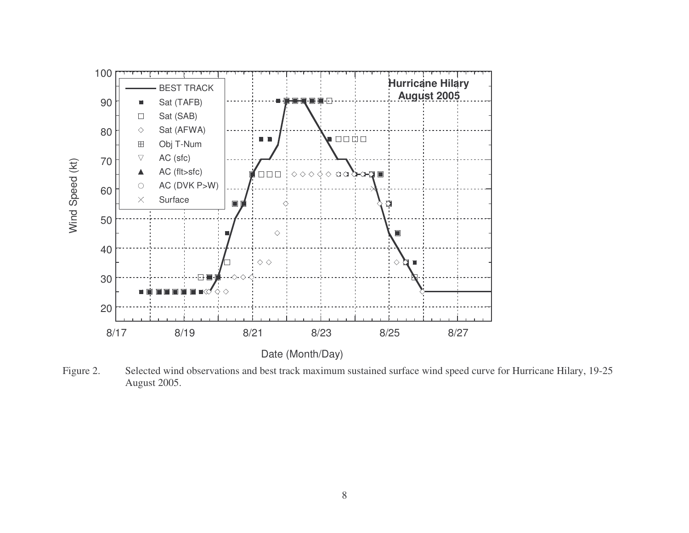

Figure 2. Selected wind observations and best track maximum sustained surface wind speed curve for Hurricane Hilary, 19-25 August 2005.